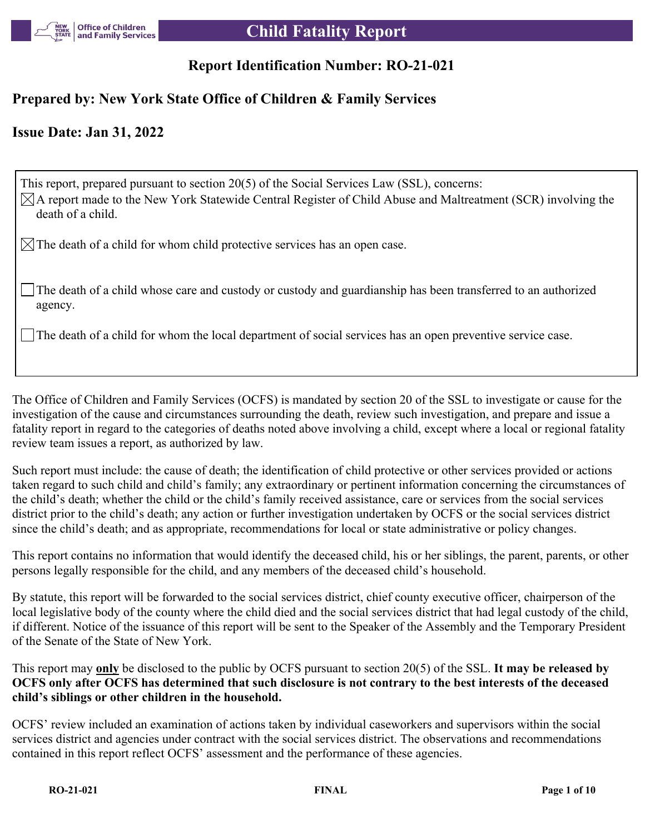

## **Report Identification Number: RO-21-021**

## **Prepared by: New York State Office of Children & Family Services**

## **Issue Date: Jan 31, 2022**

This report, prepared pursuant to section 20(5) of the Social Services Law (SSL), concerns:  $\boxtimes$ A report made to the New York Statewide Central Register of Child Abuse and Maltreatment (SCR) involving the death of a child.

 $\boxtimes$  The death of a child for whom child protective services has an open case.

The death of a child whose care and custody or custody and guardianship has been transferred to an authorized agency.

The death of a child for whom the local department of social services has an open preventive service case.

The Office of Children and Family Services (OCFS) is mandated by section 20 of the SSL to investigate or cause for the investigation of the cause and circumstances surrounding the death, review such investigation, and prepare and issue a fatality report in regard to the categories of deaths noted above involving a child, except where a local or regional fatality review team issues a report, as authorized by law.

Such report must include: the cause of death; the identification of child protective or other services provided or actions taken regard to such child and child's family; any extraordinary or pertinent information concerning the circumstances of the child's death; whether the child or the child's family received assistance, care or services from the social services district prior to the child's death; any action or further investigation undertaken by OCFS or the social services district since the child's death; and as appropriate, recommendations for local or state administrative or policy changes.

This report contains no information that would identify the deceased child, his or her siblings, the parent, parents, or other persons legally responsible for the child, and any members of the deceased child's household.

By statute, this report will be forwarded to the social services district, chief county executive officer, chairperson of the local legislative body of the county where the child died and the social services district that had legal custody of the child, if different. Notice of the issuance of this report will be sent to the Speaker of the Assembly and the Temporary President of the Senate of the State of New York.

This report may **only** be disclosed to the public by OCFS pursuant to section 20(5) of the SSL. **It may be released by OCFS only after OCFS has determined that such disclosure is not contrary to the best interests of the deceased child's siblings or other children in the household.**

OCFS' review included an examination of actions taken by individual caseworkers and supervisors within the social services district and agencies under contract with the social services district. The observations and recommendations contained in this report reflect OCFS' assessment and the performance of these agencies.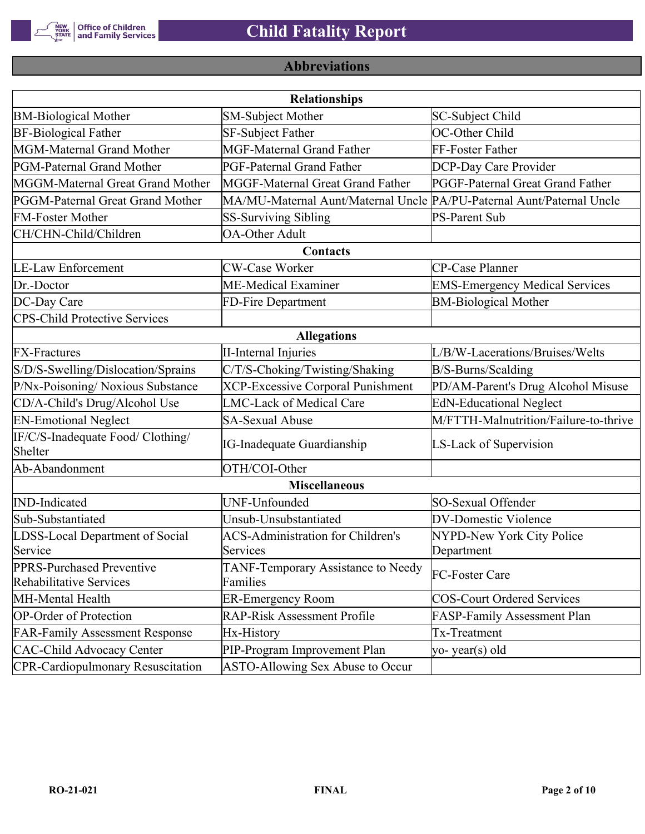

# **Abbreviations**

|                                                      | <b>Relationships</b>                                                  |                                       |
|------------------------------------------------------|-----------------------------------------------------------------------|---------------------------------------|
| <b>BM-Biological Mother</b>                          | <b>SM-Subject Mother</b>                                              | SC-Subject Child                      |
| <b>BF-Biological Father</b>                          | SF-Subject Father                                                     | OC-Other Child                        |
| MGM-Maternal Grand Mother                            | <b>MGF-Maternal Grand Father</b>                                      | FF-Foster Father                      |
| PGM-Paternal Grand Mother                            | PGF-Paternal Grand Father                                             | DCP-Day Care Provider                 |
| MGGM-Maternal Great Grand Mother                     | MGGF-Maternal Great Grand Father                                      | PGGF-Paternal Great Grand Father      |
| PGGM-Paternal Great Grand Mother                     | MA/MU-Maternal Aunt/Maternal Uncle PA/PU-Paternal Aunt/Paternal Uncle |                                       |
| <b>FM-Foster Mother</b>                              | <b>SS-Surviving Sibling</b>                                           | <b>PS-Parent Sub</b>                  |
| CH/CHN-Child/Children                                | <b>OA-Other Adult</b>                                                 |                                       |
|                                                      | Contacts                                                              |                                       |
| <b>LE-Law Enforcement</b>                            | <b>CW-Case Worker</b>                                                 | CP-Case Planner                       |
| Dr.-Doctor                                           | ME-Medical Examiner                                                   | <b>EMS-Emergency Medical Services</b> |
| DC-Day Care                                          | FD-Fire Department                                                    | <b>BM-Biological Mother</b>           |
| <b>CPS-Child Protective Services</b>                 |                                                                       |                                       |
|                                                      | <b>Allegations</b>                                                    |                                       |
| <b>FX-Fractures</b>                                  | <b>II-Internal Injuries</b>                                           | L/B/W-Lacerations/Bruises/Welts       |
| S/D/S-Swelling/Dislocation/Sprains                   | C/T/S-Choking/Twisting/Shaking                                        | B/S-Burns/Scalding                    |
| P/Nx-Poisoning/ Noxious Substance                    | <b>XCP-Excessive Corporal Punishment</b>                              | PD/AM-Parent's Drug Alcohol Misuse    |
| CD/A-Child's Drug/Alcohol Use                        | <b>LMC-Lack of Medical Care</b>                                       | <b>EdN-Educational Neglect</b>        |
| <b>EN-Emotional Neglect</b>                          | <b>SA-Sexual Abuse</b>                                                | M/FTTH-Malnutrition/Failure-to-thrive |
| IF/C/S-Inadequate Food/ Clothing/<br>Shelter         | <b>IG-Inadequate Guardianship</b>                                     | LS-Lack of Supervision                |
| Ab-Abandonment                                       | OTH/COI-Other                                                         |                                       |
|                                                      | <b>Miscellaneous</b>                                                  |                                       |
| <b>IND-Indicated</b>                                 | UNF-Unfounded                                                         | SO-Sexual Offender                    |
| Sub-Substantiated                                    | Unsub-Unsubstantiated                                                 | <b>DV-Domestic Violence</b>           |
| LDSS-Local Department of Social                      | <b>ACS-Administration for Children's</b>                              | NYPD-New York City Police             |
| Service                                              | Services                                                              | Department                            |
| PPRS-Purchased Preventive<br>Rehabilitative Services | TANF-Temporary Assistance to Needy<br>Families                        | FC-Foster Care                        |
| MH-Mental Health                                     | <b>ER-Emergency Room</b>                                              | <b>COS-Court Ordered Services</b>     |
| <b>OP-Order of Protection</b>                        | <b>RAP-Risk Assessment Profile</b>                                    | FASP-Family Assessment Plan           |
| <b>FAR-Family Assessment Response</b>                | Hx-History                                                            | Tx-Treatment                          |
| <b>CAC-Child Advocacy Center</b>                     | PIP-Program Improvement Plan                                          | yo-year(s) old                        |
| <b>CPR-Cardiopulmonary Resuscitation</b>             | ASTO-Allowing Sex Abuse to Occur                                      |                                       |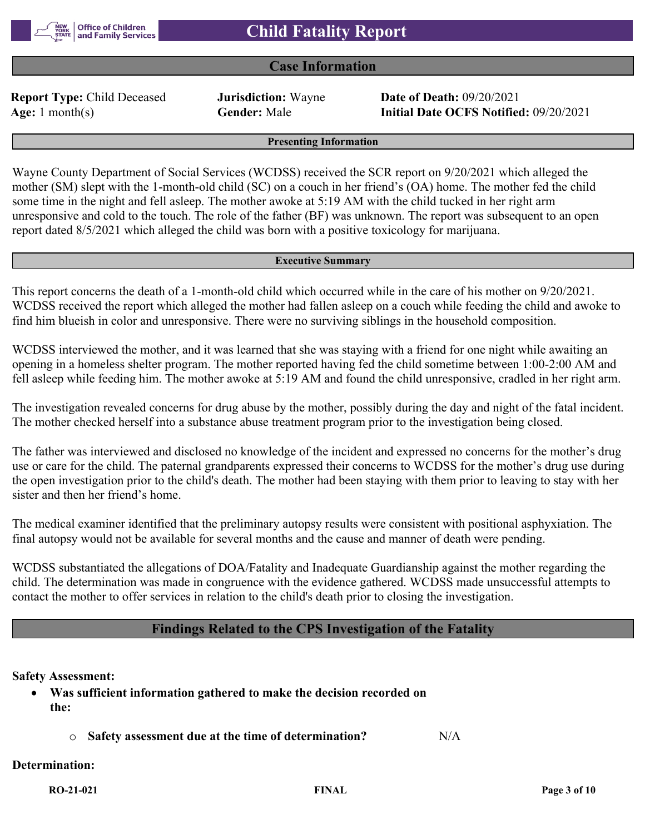

## **Case Information**

**Report Type:** Child Deceased **Jurisdiction:** Wayne **Date of Death:** 09/20/2021

**Age:** 1 month(s) **Gender:** Male **Initial Date OCFS Notified:** 09/20/2021

**Presenting Information**

Wayne County Department of Social Services (WCDSS) received the SCR report on 9/20/2021 which alleged the mother (SM) slept with the 1-month-old child (SC) on a couch in her friend's (OA) home. The mother fed the child some time in the night and fell asleep. The mother awoke at 5:19 AM with the child tucked in her right arm unresponsive and cold to the touch. The role of the father (BF) was unknown. The report was subsequent to an open report dated 8/5/2021 which alleged the child was born with a positive toxicology for marijuana.

#### **Executive Summary**

This report concerns the death of a 1-month-old child which occurred while in the care of his mother on 9/20/2021. WCDSS received the report which alleged the mother had fallen asleep on a couch while feeding the child and awoke to find him blueish in color and unresponsive. There were no surviving siblings in the household composition.

WCDSS interviewed the mother, and it was learned that she was staying with a friend for one night while awaiting an opening in a homeless shelter program. The mother reported having fed the child sometime between 1:00-2:00 AM and fell asleep while feeding him. The mother awoke at 5:19 AM and found the child unresponsive, cradled in her right arm.

The investigation revealed concerns for drug abuse by the mother, possibly during the day and night of the fatal incident. The mother checked herself into a substance abuse treatment program prior to the investigation being closed.

The father was interviewed and disclosed no knowledge of the incident and expressed no concerns for the mother's drug use or care for the child. The paternal grandparents expressed their concerns to WCDSS for the mother's drug use during the open investigation prior to the child's death. The mother had been staying with them prior to leaving to stay with her sister and then her friend's home.

The medical examiner identified that the preliminary autopsy results were consistent with positional asphyxiation. The final autopsy would not be available for several months and the cause and manner of death were pending.

WCDSS substantiated the allegations of DOA/Fatality and Inadequate Guardianship against the mother regarding the child. The determination was made in congruence with the evidence gathered. WCDSS made unsuccessful attempts to contact the mother to offer services in relation to the child's death prior to closing the investigation.

## **Findings Related to the CPS Investigation of the Fatality**

#### **Safety Assessment:**

- **Was sufficient information gathered to make the decision recorded on the:**
	- o **Safety assessment due at the time of determination?** N/A

#### **Determination:**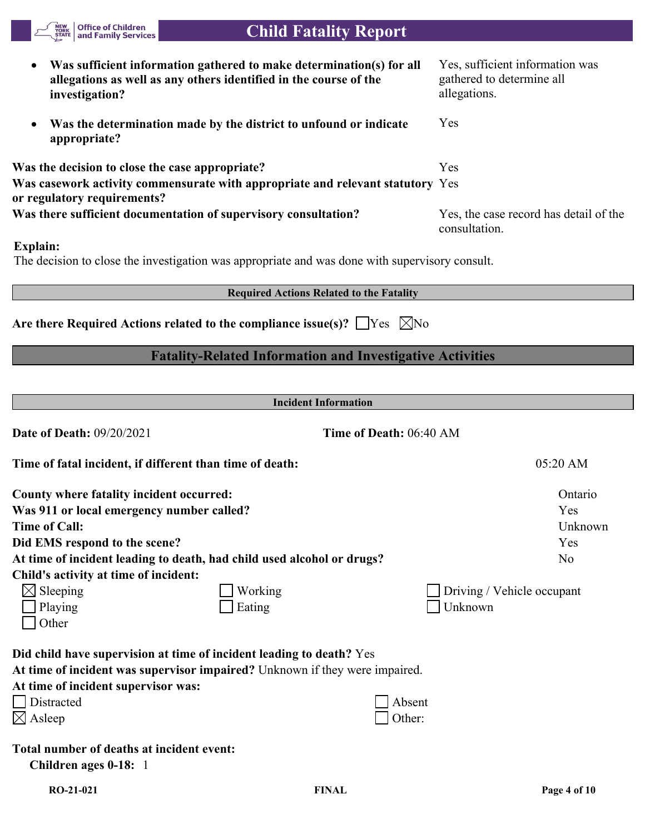| <b>Office of Children<br/>and Family Services</b><br>NEW<br>YORK<br>ȘTATE                                                                                                                                                | <b>Child Fatality Report</b>                                                                                                              |                                                                              |
|--------------------------------------------------------------------------------------------------------------------------------------------------------------------------------------------------------------------------|-------------------------------------------------------------------------------------------------------------------------------------------|------------------------------------------------------------------------------|
| $\bullet$<br>investigation?                                                                                                                                                                                              | Was sufficient information gathered to make determination(s) for all<br>allegations as well as any others identified in the course of the | Yes, sufficient information was<br>gathered to determine all<br>allegations. |
| ٠<br>appropriate?                                                                                                                                                                                                        | Was the determination made by the district to unfound or indicate                                                                         | Yes                                                                          |
| Was the decision to close the case appropriate?<br>or regulatory requirements?<br>Was there sufficient documentation of supervisory consultation?                                                                        | Was casework activity commensurate with appropriate and relevant statutory Yes                                                            | Yes<br>Yes, the case record has detail of the                                |
| <b>Explain:</b>                                                                                                                                                                                                          | The decision to close the investigation was appropriate and was done with supervisory consult.                                            | consultation.                                                                |
|                                                                                                                                                                                                                          | <b>Required Actions Related to the Fatality</b>                                                                                           |                                                                              |
|                                                                                                                                                                                                                          | Are there Required Actions related to the compliance issue(s)? $\Box$ Yes $\Box$ No                                                       |                                                                              |
|                                                                                                                                                                                                                          | <b>Fatality-Related Information and Investigative Activities</b>                                                                          |                                                                              |
|                                                                                                                                                                                                                          |                                                                                                                                           |                                                                              |
|                                                                                                                                                                                                                          | <b>Incident Information</b>                                                                                                               |                                                                              |
| <b>Date of Death: 09/20/2021</b>                                                                                                                                                                                         | Time of Death: 06:40 AM                                                                                                                   |                                                                              |
| Time of fatal incident, if different than time of death:                                                                                                                                                                 |                                                                                                                                           | 05:20 AM                                                                     |
| County where fatality incident occurred:<br>Was 911 or local emergency number called?<br><b>Time of Call:</b><br>Did EMS respond to the scene?<br>At time of incident leading to death, had child used alcohol or drugs? |                                                                                                                                           | Ontario<br>Yes<br>Unknown<br>Yes<br>N <sub>o</sub>                           |
| Child's activity at time of incident:<br>$\boxtimes$ Sleeping<br>Playing<br>Other                                                                                                                                        | Working<br>Eating                                                                                                                         | Driving / Vehicle occupant<br>Unknown                                        |
| Did child have supervision at time of incident leading to death? Yes<br>At time of incident supervisor was:<br>Distracted<br>$\boxtimes$ Asleep                                                                          | At time of incident was supervisor impaired? Unknown if they were impaired.<br>Absent<br>Other:                                           |                                                                              |
| Total number of deaths at incident event:<br>Children ages 0-18: 1                                                                                                                                                       |                                                                                                                                           |                                                                              |
| RO-21-021                                                                                                                                                                                                                | <b>FINAL</b>                                                                                                                              | Page 4 of 10                                                                 |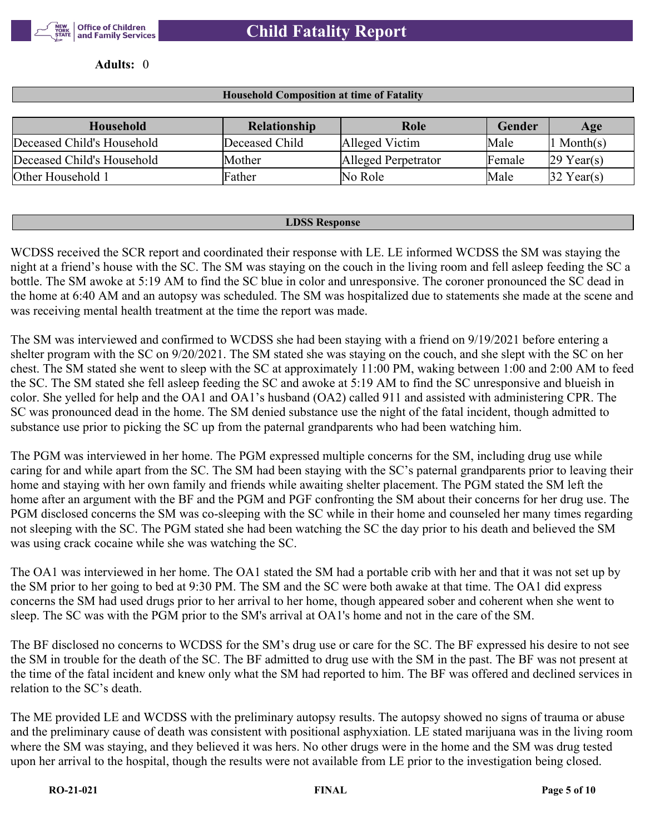

**Adults:** 0

#### **Household Composition at time of Fatality**

| Household                  | <b>Relationship</b> | Role                | <b>Gender</b> | Age          |
|----------------------------|---------------------|---------------------|---------------|--------------|
| Deceased Child's Household | Deceased Child      | Alleged Victim      | Male          | . Month(s)   |
| Deceased Child's Household | Mother              | Alleged Perpetrator | Female        | $29$ Year(s) |
| Other Household 1          | Father              | No Role             | Male          | $32$ Year(s) |

#### **LDSS Response**

WCDSS received the SCR report and coordinated their response with LE. LE informed WCDSS the SM was staying the night at a friend's house with the SC. The SM was staying on the couch in the living room and fell asleep feeding the SC a bottle. The SM awoke at 5:19 AM to find the SC blue in color and unresponsive. The coroner pronounced the SC dead in the home at 6:40 AM and an autopsy was scheduled. The SM was hospitalized due to statements she made at the scene and was receiving mental health treatment at the time the report was made.

The SM was interviewed and confirmed to WCDSS she had been staying with a friend on 9/19/2021 before entering a shelter program with the SC on 9/20/2021. The SM stated she was staying on the couch, and she slept with the SC on her chest. The SM stated she went to sleep with the SC at approximately 11:00 PM, waking between 1:00 and 2:00 AM to feed the SC. The SM stated she fell asleep feeding the SC and awoke at 5:19 AM to find the SC unresponsive and blueish in color. She yelled for help and the OA1 and OA1's husband (OA2) called 911 and assisted with administering CPR. The SC was pronounced dead in the home. The SM denied substance use the night of the fatal incident, though admitted to substance use prior to picking the SC up from the paternal grandparents who had been watching him.

The PGM was interviewed in her home. The PGM expressed multiple concerns for the SM, including drug use while caring for and while apart from the SC. The SM had been staying with the SC's paternal grandparents prior to leaving their home and staying with her own family and friends while awaiting shelter placement. The PGM stated the SM left the home after an argument with the BF and the PGM and PGF confronting the SM about their concerns for her drug use. The PGM disclosed concerns the SM was co-sleeping with the SC while in their home and counseled her many times regarding not sleeping with the SC. The PGM stated she had been watching the SC the day prior to his death and believed the SM was using crack cocaine while she was watching the SC.

The OA1 was interviewed in her home. The OA1 stated the SM had a portable crib with her and that it was not set up by the SM prior to her going to bed at 9:30 PM. The SM and the SC were both awake at that time. The OA1 did express concerns the SM had used drugs prior to her arrival to her home, though appeared sober and coherent when she went to sleep. The SC was with the PGM prior to the SM's arrival at OA1's home and not in the care of the SM.

The BF disclosed no concerns to WCDSS for the SM's drug use or care for the SC. The BF expressed his desire to not see the SM in trouble for the death of the SC. The BF admitted to drug use with the SM in the past. The BF was not present at the time of the fatal incident and knew only what the SM had reported to him. The BF was offered and declined services in relation to the SC's death.

The ME provided LE and WCDSS with the preliminary autopsy results. The autopsy showed no signs of trauma or abuse and the preliminary cause of death was consistent with positional asphyxiation. LE stated marijuana was in the living room where the SM was staying, and they believed it was hers. No other drugs were in the home and the SM was drug tested upon her arrival to the hospital, though the results were not available from LE prior to the investigation being closed.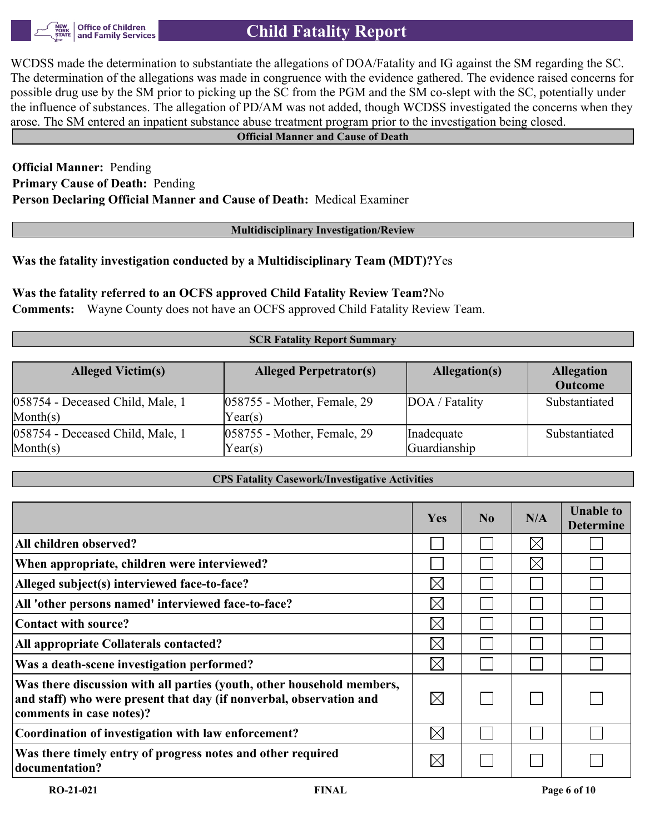**Office of Children** and Family Services

## **Child Fatality Report**

WCDSS made the determination to substantiate the allegations of DOA/Fatality and IG against the SM regarding the SC. The determination of the allegations was made in congruence with the evidence gathered. The evidence raised concerns for possible drug use by the SM prior to picking up the SC from the PGM and the SM co-slept with the SC, potentially under the influence of substances. The allegation of PD/AM was not added, though WCDSS investigated the concerns when they arose. The SM entered an inpatient substance abuse treatment program prior to the investigation being closed.

#### **Official Manner and Cause of Death**

## **Official Manner:** Pending **Primary Cause of Death:** Pending **Person Declaring Official Manner and Cause of Death:** Medical Examiner

#### **Multidisciplinary Investigation/Review**

## **Was the fatality investigation conducted by a Multidisciplinary Team (MDT)?**Yes

## **Was the fatality referred to an OCFS approved Child Fatality Review Team?**No

**Comments:** Wayne County does not have an OCFS approved Child Fatality Review Team.

#### **SCR Fatality Report Summary**

| <b>Alleged Victim(s)</b>                                 | <b>Alleged Perpetrator(s)</b>             | Allegation(s)              | <b>Allegation</b><br><b>Outcome</b> |
|----------------------------------------------------------|-------------------------------------------|----------------------------|-------------------------------------|
| $ 058754$ - Deceased Child, Male, 1<br>$\text{Month}(s)$ | $ 058755$ - Mother, Female, 29<br>Year(s) | DOA / Fatality             | Substantiated                       |
| $ 058754$ - Deceased Child, Male, 1<br>$\text{Month}(s)$ | $ 058755$ - Mother, Female, 29<br>Year(s) | Inadequate<br>Guardianship | Substantiated                       |

#### **CPS Fatality Casework/Investigative Activities**

|                                                                                                                                                                           | Yes         | No | N/A         | <b>Unable to</b><br><b>Determine</b> |
|---------------------------------------------------------------------------------------------------------------------------------------------------------------------------|-------------|----|-------------|--------------------------------------|
| All children observed?                                                                                                                                                    |             |    | $\boxtimes$ |                                      |
| When appropriate, children were interviewed?                                                                                                                              |             |    | $\boxtimes$ |                                      |
| Alleged subject(s) interviewed face-to-face?                                                                                                                              | $\boxtimes$ |    |             |                                      |
| All 'other persons named' interviewed face-to-face?                                                                                                                       | $\boxtimes$ |    |             |                                      |
| Contact with source?                                                                                                                                                      | $\boxtimes$ |    |             |                                      |
| All appropriate Collaterals contacted?                                                                                                                                    | $\boxtimes$ |    |             |                                      |
| Was a death-scene investigation performed?                                                                                                                                | $\boxtimes$ |    |             |                                      |
| Was there discussion with all parties (youth, other household members,<br>and staff) who were present that day (if nonverbal, observation and<br>comments in case notes)? | $\boxtimes$ |    |             |                                      |
| Coordination of investigation with law enforcement?                                                                                                                       | $\boxtimes$ |    |             |                                      |
| Was there timely entry of progress notes and other required<br>documentation?                                                                                             | $\boxtimes$ |    |             |                                      |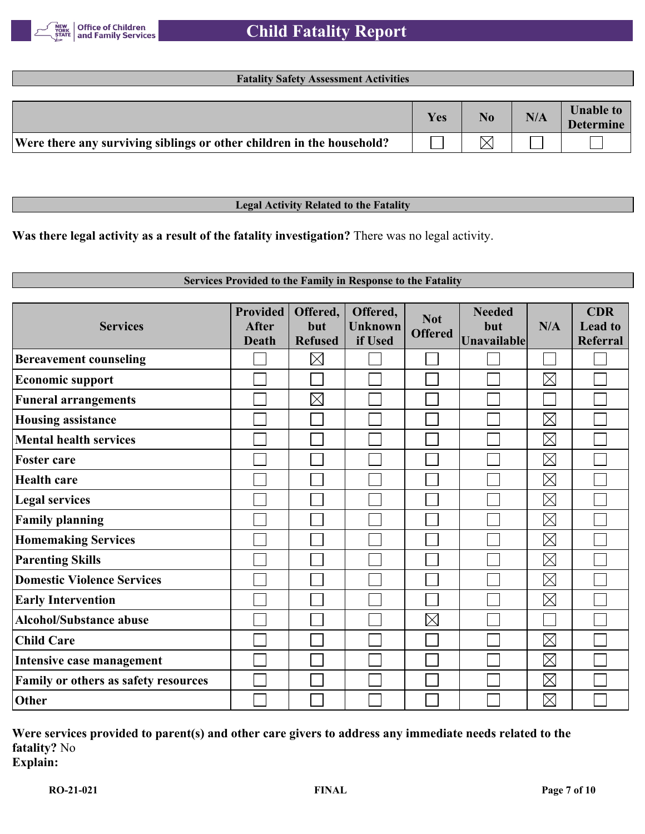

#### **Fatality Safety Assessment Activities**

|                                                                       | <b>Yes</b> | N/A | <b>Unable to</b><br><b>Determine</b> |
|-----------------------------------------------------------------------|------------|-----|--------------------------------------|
| Were there any surviving siblings or other children in the household? |            |     |                                      |

#### **Legal Activity Related to the Fatality**

**Was there legal activity as a result of the fatality investigation?** There was no legal activity.

#### **Services Provided to the Family in Response to the Fatality**

| <b>Services</b>                      | <b>Provided</b><br><b>After</b><br><b>Death</b> | Offered,<br>but<br><b>Refused</b> | Offered,<br><b>Unknown</b><br>if Used | <b>Not</b><br><b>Offered</b> | <b>Needed</b><br>but<br><b>Unavailable</b> | N/A         | <b>CDR</b><br><b>Lead to</b><br>Referral |
|--------------------------------------|-------------------------------------------------|-----------------------------------|---------------------------------------|------------------------------|--------------------------------------------|-------------|------------------------------------------|
| <b>Bereavement counseling</b>        |                                                 | $\times$                          |                                       |                              |                                            |             |                                          |
| <b>Economic support</b>              |                                                 |                                   |                                       |                              |                                            | $\boxtimes$ |                                          |
| <b>Funeral arrangements</b>          |                                                 | $\boxtimes$                       |                                       |                              |                                            |             |                                          |
| <b>Housing assistance</b>            |                                                 |                                   |                                       |                              |                                            | $\boxtimes$ |                                          |
| <b>Mental health services</b>        |                                                 |                                   |                                       |                              |                                            | $\boxtimes$ |                                          |
| <b>Foster care</b>                   |                                                 |                                   |                                       |                              |                                            | $\boxtimes$ |                                          |
| <b>Health care</b>                   |                                                 |                                   |                                       |                              |                                            | $\boxtimes$ |                                          |
| <b>Legal services</b>                |                                                 |                                   |                                       |                              |                                            | $\boxtimes$ |                                          |
| <b>Family planning</b>               |                                                 |                                   |                                       |                              |                                            | $\boxtimes$ |                                          |
| <b>Homemaking Services</b>           |                                                 |                                   |                                       |                              |                                            | $\boxtimes$ |                                          |
| <b>Parenting Skills</b>              |                                                 |                                   |                                       |                              |                                            | $\boxtimes$ |                                          |
| <b>Domestic Violence Services</b>    |                                                 |                                   |                                       |                              |                                            | $\boxtimes$ |                                          |
| <b>Early Intervention</b>            |                                                 |                                   |                                       |                              |                                            | $\boxtimes$ |                                          |
| <b>Alcohol/Substance abuse</b>       |                                                 |                                   |                                       | $\boxtimes$                  |                                            |             |                                          |
| <b>Child Care</b>                    |                                                 |                                   |                                       |                              |                                            | $\boxtimes$ |                                          |
| Intensive case management            |                                                 |                                   |                                       |                              |                                            | $\boxtimes$ |                                          |
| Family or others as safety resources |                                                 |                                   |                                       |                              |                                            | $\boxtimes$ |                                          |
| Other                                |                                                 |                                   |                                       |                              |                                            | $\boxtimes$ |                                          |

## **Were services provided to parent(s) and other care givers to address any immediate needs related to the fatality?** No **Explain:**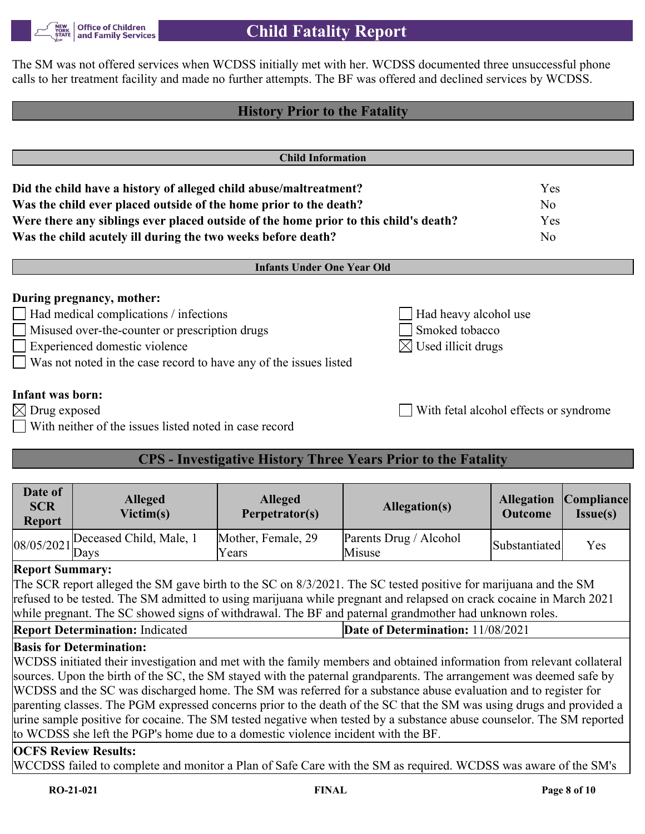

The SM was not offered services when WCDSS initially met with her. WCDSS documented three unsuccessful phone calls to her treatment facility and made no further attempts. The BF was offered and declined services by WCDSS.

# **History Prior to the Fatality Child Information Did the child have a history of alleged child abuse/maltreatment?** Yes **Was the child ever placed outside of the home prior to the death?** No **Were there any siblings ever placed outside of the home prior to this child's death?** Yes **Was the child acutely ill during the two weeks before death?** No **Infants Under One Year Old During pregnancy, mother:** Had medical complications / infections  $\left| \right|$  Had heavy alcohol use □ Misused over-the-counter or prescription drugs Smoked tobacco  $\Box$  Experienced domestic violence  $\Box$  Used illicit drugs Was not noted in the case record to have any of the issues listed **Infant was born:**  $\boxtimes$  Drug exposed With fetal alcohol effects or syndrome With neither of the issues listed noted in case record **CPS - Investigative History Three Years Prior to the Fatality**

| Date of<br><b>SCR</b><br><b>Report</b>      | <b>Alleged</b><br>Victim(s) | <b>Alleged</b><br>Perpetrator(s) | Allegation(s)                    | <b>Allegation Compliance</b><br><b>Outcome</b> | <b>Issue(s)</b> |
|---------------------------------------------|-----------------------------|----------------------------------|----------------------------------|------------------------------------------------|-----------------|
| $ 08/05/2021 _{\text{Days}}^{\text{Decel}}$ | Deceased Child, Male, 1     | Mother, Female, 29<br>Years      | Parents Drug / Alcohol<br>Misuse | Substantiated                                  | Yes             |

## **Report Summary:**

The SCR report alleged the SM gave birth to the SC on 8/3/2021. The SC tested positive for marijuana and the SM refused to be tested. The SM admitted to using marijuana while pregnant and relapsed on crack cocaine in March 2021 while pregnant. The SC showed signs of withdrawal. The BF and paternal grandmother had unknown roles.

**Report Determination:** Indicated **Date of Determination:** 11/08/2021

## **Basis for Determination:**

WCDSS initiated their investigation and met with the family members and obtained information from relevant collateral sources. Upon the birth of the SC, the SM stayed with the paternal grandparents. The arrangement was deemed safe by WCDSS and the SC was discharged home. The SM was referred for a substance abuse evaluation and to register for parenting classes. The PGM expressed concerns prior to the death of the SC that the SM was using drugs and provided a urine sample positive for cocaine. The SM tested negative when tested by a substance abuse counselor. The SM reported to WCDSS she left the PGP's home due to a domestic violence incident with the BF.

## **OCFS Review Results:**

WCCDSS failed to complete and monitor a Plan of Safe Care with the SM as required. WCDSS was aware of the SM's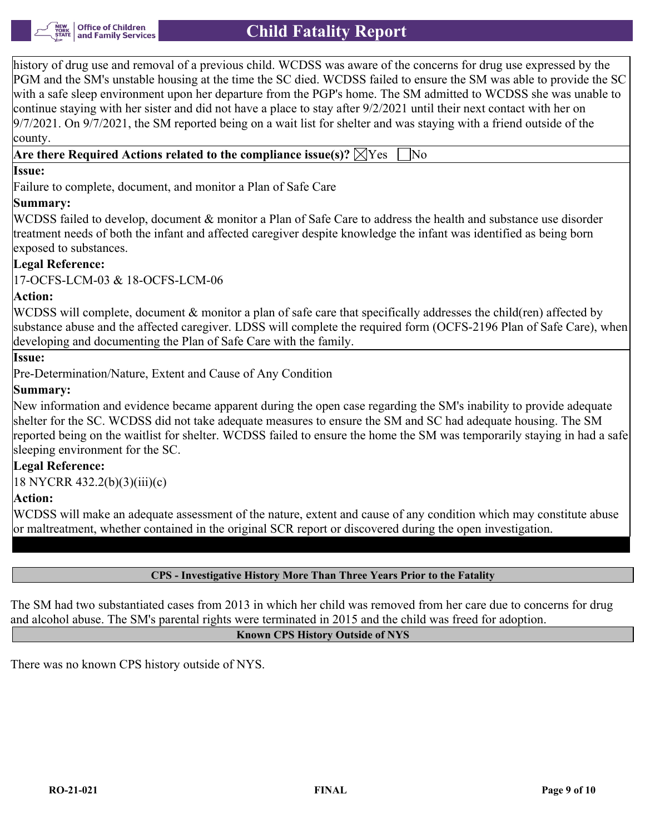history of drug use and removal of a previous child. WCDSS was aware of the concerns for drug use expressed by the PGM and the SM's unstable housing at the time the SC died. WCDSS failed to ensure the SM was able to provide the SC with a safe sleep environment upon her departure from the PGP's home. The SM admitted to WCDSS she was unable to continue staying with her sister and did not have a place to stay after 9/2/2021 until their next contact with her on  $9/7/2021$ . On  $9/7/2021$ , the SM reported being on a wait list for shelter and was staying with a friend outside of the county.

## **Are there Required Actions related to the compliance issue(s)?**  $\boxtimes$  Yes No

## **Issue:**

Failure to complete, document, and monitor a Plan of Safe Care

## **Summary:**

WCDSS failed to develop, document & monitor a Plan of Safe Care to address the health and substance use disorder treatment needs of both the infant and affected caregiver despite knowledge the infant was identified as being born exposed to substances.

## **Legal Reference:**

17-OCFS-LCM-03 & 18-OCFS-LCM-06

## **Action:**

WCDSS will complete, document & monitor a plan of safe care that specifically addresses the child(ren) affected by substance abuse and the affected caregiver. LDSS will complete the required form (OCFS-2196 Plan of Safe Care), when developing and documenting the Plan of Safe Care with the family.

#### **Issue:**

Pre-Determination/Nature, Extent and Cause of Any Condition

## **Summary:**

New information and evidence became apparent during the open case regarding the SM's inability to provide adequate shelter for the SC. WCDSS did not take adequate measures to ensure the SM and SC had adequate housing. The SM reported being on the waitlist for shelter. WCDSS failed to ensure the home the SM was temporarily staying in had a safe sleeping environment for the SC.

## **Legal Reference:**

18 NYCRR 432.2(b)(3)(iii)(c)

## **Action:**

WCDSS will make an adequate assessment of the nature, extent and cause of any condition which may constitute abuse or maltreatment, whether contained in the original SCR report or discovered during the open investigation.

#### **CPS - Investigative History More Than Three Years Prior to the Fatality**

The SM had two substantiated cases from 2013 in which her child was removed from her care due to concerns for drug and alcohol abuse. The SM's parental rights were terminated in 2015 and the child was freed for adoption.

#### **Known CPS History Outside of NYS**

There was no known CPS history outside of NYS.